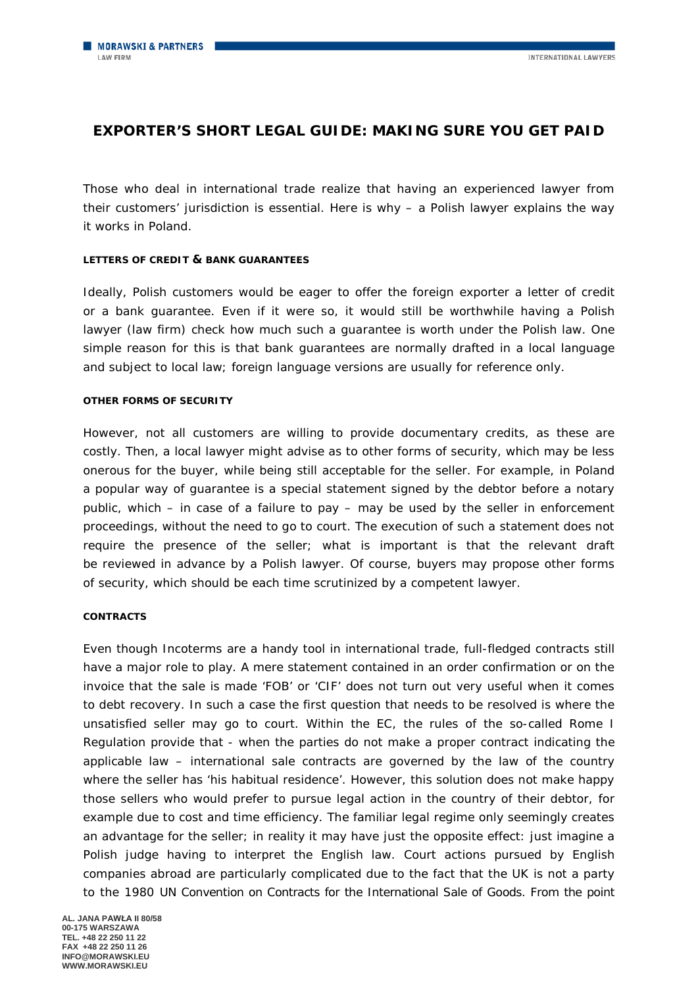# **EXPORTER'S SHORT LEGAL GUIDE: MAKING SURE YOU GET PAID**

Those who deal in international trade realize that having an experienced lawyer from their customers' jurisdiction is essential. Here is why – a Polish lawyer explains the way it works in Poland.

# **LETTERS OF CREDIT & BANK GUARANTEES**

Ideally, Polish customers would be eager to offer the foreign exporter a letter of credit or a bank guarantee. Even if it were so, it would still be worthwhile having a Polish lawyer (law firm) check how much such a guarantee is worth under the Polish law. One simple reason for this is that bank guarantees are normally drafted in a local language and subject to local law; foreign language versions are usually for reference only.

## **OTHER FORMS OF SECURITY**

However, not all customers are willing to provide documentary credits, as these are costly. Then, a local lawyer might advise as to other forms of security, which may be less onerous for the buyer, while being still acceptable for the seller. For example, in Poland a popular way of guarantee is a special statement signed by the debtor before a notary public, which  $-$  in case of a failure to pay  $-$  may be used by the seller in enforcement proceedings, without the need to go to court. The execution of such a statement does not require the presence of the seller; what is important is that the relevant draft be reviewed in advance by a Polish lawyer. Of course, buyers may propose other forms of security, which should be each time scrutinized by a competent lawyer.

#### **CONTRACTS**

Even though Incoterms are a handy tool in international trade, full-fledged contracts still have a major role to play. A mere statement contained in an order confirmation or on the invoice that the sale is made 'FOB' or 'CIF' does not turn out very useful when it comes to debt recovery. In such a case the first question that needs to be resolved is where the unsatisfied seller may go to court. Within the EC, the rules of the so-called Rome I Regulation provide that - when the parties do not make a proper contract indicating the applicable law – international sale contracts are governed by the law of the country where the seller has 'his habitual residence'. However, this solution does not make happy those sellers who would prefer to pursue legal action in the country of their debtor, for example due to cost and time efficiency. The familiar legal regime only seemingly creates an advantage for the seller; in reality it may have just the opposite effect: just imagine a Polish judge having to interpret the English law. Court actions pursued by English companies abroad are particularly complicated due to the fact that the UK is not a party to the 1980 UN Convention on Contracts for the International Sale of Goods. From the point